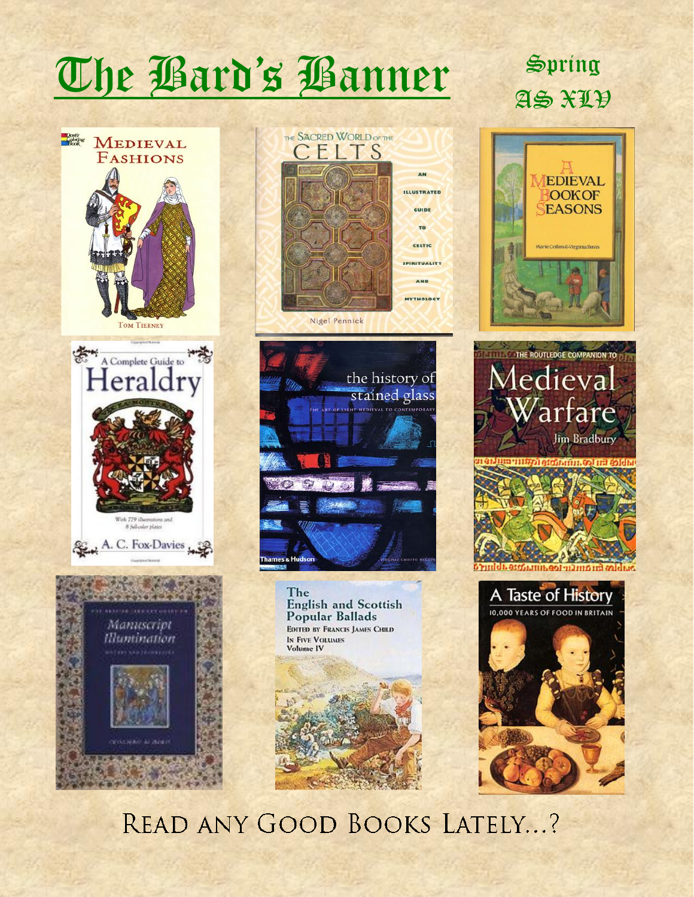## The Bard's Banner Spring





the history of stained glass names & Huds

> The **English and Scottish** Popular Ballads EDITED BY FRANCIS JAMES CHILD **IN FIVE VOLUMES** Volume IV



# AS XLV









READ ANY GOOD BOOKS LATELY...?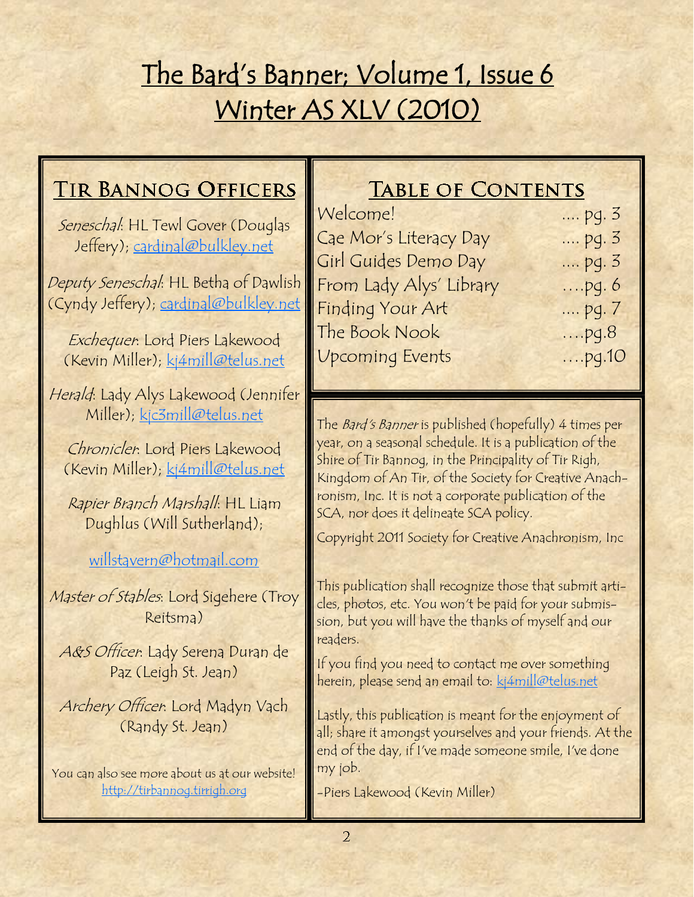## The Bard's Banner; Volume 1, Issue 6 Winter AS XLV (2010)

## **TIR BANNOG OFFICERS**

Seneschal: HL Tewl Gover (Douglas Jeffery); [cardinal@bulkley.net](mailto:cardinal@bulkley.net)

Deputy Seneschal: HL Betha of Dawlish (Cyndy Jeffery); [cardinal@bulkley.net](mailto:cardinal@bulkley.net)

Exchequer: Lord Piers Lakewood (Kevin Miller); [kj4mill@telus.net](mailto:kj2mill@lakescom.net)

Herald: Lady Alys Lakewood (Jennifer Miller); [kjc3mill@telus.net](mailto:kjc3mill@telus.net)

Chronicler: Lord Piers Lakewood (Kevin Miller); [kj4mill@telus.net](mailto:kj2mill@lakescom.net)

Rapier Branch Marshall: HL Liam Dughlus (Will Sutherland);

### [willstavern@hotmail.com](mailto:willstavern@hotmail.com)

Master of Stables: Lord Sigehere (Troy Reitsma)

A&S Officer: Lady Serena Duran de Paz (Leigh St. Jean)

Archery Officer: Lord Madyn Vach (Randy St. Jean)

You can also see more about us at our website! <http://tirbannog.tirrigh.org>

## **TABLE OF CONTENTS**

| Welcome!                | $pg. 3$  |
|-------------------------|----------|
| Cae Mor's Literacy Day  | pg. 3    |
| Girl Guides Demo Day    | $pq.3$   |
| From Lady Alys' Library | $$ pq. 6 |
| Finding Your Art        | pq. 7    |
| The Book Nook           | $$ pq.8  |
| <b>Upcoming Events</b>  | $$ pq.10 |

The Bard's Banner is published (hopefully) 4 times per year, on a seasonal schedule. It is a publication of the Shire of Tir Bannog, in the Principality of Tir Righ, Kingdom of An Tir, of the Society for Creative Anachronism, Inc. It is not a corporate publication of the SCA, nor does it delineate SCA policy.

Copyright 2011 Society for Creative Anachronism, Inc

This publication shall recognize those that submit articles, photos, etc. You won't be paid for your submission, but you will have the thanks of myself and our readers.

If you find you need to contact me over something herein, please send an email to: [kj4mill@telus.net](mailto:kj2mill@lakescom.net)

Lastly, this publication is meant for the enjoyment of all; share it amongst yourselves and your friends. At the end of the day, if I've made someone smile, I've done my job.

-Piers Lakewood (Kevin Miller)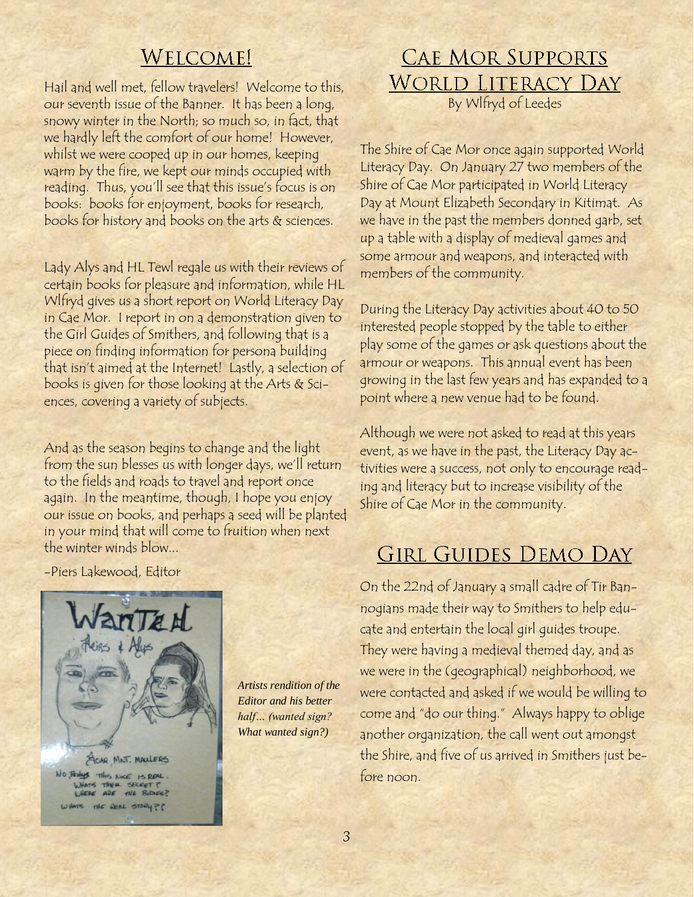## **WELCOME!**

Hail and well met, fellow travelers! Welcome to this, our seventh issue of the Banner. It has been a long, snowy winter in the North; so much so, in fact, that we hardly left the comfort of our home! However, whilst we were cooped up in our homes, keeping warm by the fire, we kept our minds occupied with reading. Thus, you'll see that this issue's focus is on books: books for enjoyment, books for research, books for history and books on the arts & sciences.

Lady Alys and HL Tewl regale us with their reviews of certain books for pleasure and information, while HL Wlfryd gives us a short report on World Literacy Day in Cae Mor. I report in on a demonstration given to the Girl Guides of Smithers, and following that is a piece on finding information for persona building that isn"t aimed at the Internet! Lastly, a selection of books is given for those looking at the Arts & Sciences, covering a variety of subjects.

And as the season begins to change and the light from the sun blesses us with longer days, we'll return to the fields and roads to travel and report once again. In the meantime, though, I hope you enjoy our issue on books, and perhaps a seed will be planted in your mind that will come to fruition when next the winter winds blow...

-Piers Lakewood, Editor



*Artists rendition of the Editor and his better half… (wanted sign? What wanted sign?)*

## **CAE MOR SUPPORTS WORLD LITERACY DAY** By Wlfryd of Leedes

The Shire of Cae Mor once again supported World Literacy Day. On January 27 two members of the Shire of Cae Mor participated in World Literacy Day at Mount Elizabeth Secondary in Kitimat. As we have in the past the members donned garb, set up a table with a display of medieval games and some armour and weapons, and interacted with members of the community.

During the Literacy Day activities about 40 to 50 interested people stopped by the table to either play some of the games or ask questions about the armour or weapons. This annual event has been growing in the last few years and has expanded to a point where a new venue had to be found.

Although we were not asked to read at this years event, as we have in the past, the Literacy Day activities were a success, not only to encourage reading and literacy but to increase visibility of the Shire of Cae Mor in the community.

## **GIRL GUIDES DEMO DAY**

On the 22nd of January a small cadre of Tir Bannogians made their way to Smithers to help educate and entertain the local girl guides troupe. They were having a medieval themed day, and as we were in the (geographical) neighborhood, we were contacted and asked if we would be willing to come and "do our thing." Always happy to oblige another organization, the call went out amongst the Shire, and five of us arrived in Smithers just before noon.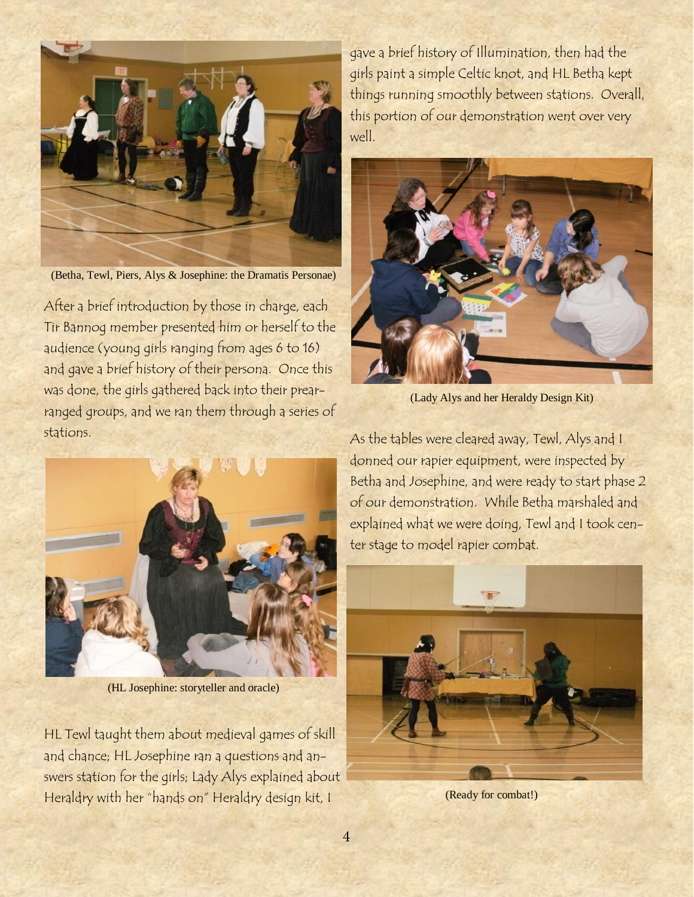

(Betha, Tewl, Piers, Alys & Josephine: the Dramatis Personae)

After a brief introduction by those in charge, each Tir Bannog member presented him or herself to the audience (young girls ranging from ages 6 to 16) and gave a brief history of their persona. Once this was done, the girls gathered back into their prearranged groups, and we ran them through a series of stations.



(HL Josephine: storyteller and oracle)

HL Tewl taught them about medieval games of skill and chance; HL Josephine ran a questions and answers station for the girls; Lady Alys explained about Heraldry with her "hands on" Heraldry design kit, I

gave a brief history of Illumination, then had the girls paint a simple Celtic knot, and HL Betha kept things running smoothly between stations. Overall, this portion of our demonstration went over very well.



(Lady Alys and her Heraldy Design Kit)

As the tables were cleared away, Tewl, Alys and I donned our rapier equipment, were inspected by Betha and Josephine, and were ready to start phase 2 of our demonstration. While Betha marshaled and explained what we were doing, Tewl and I took center stage to model rapier combat.



(Ready for combat!)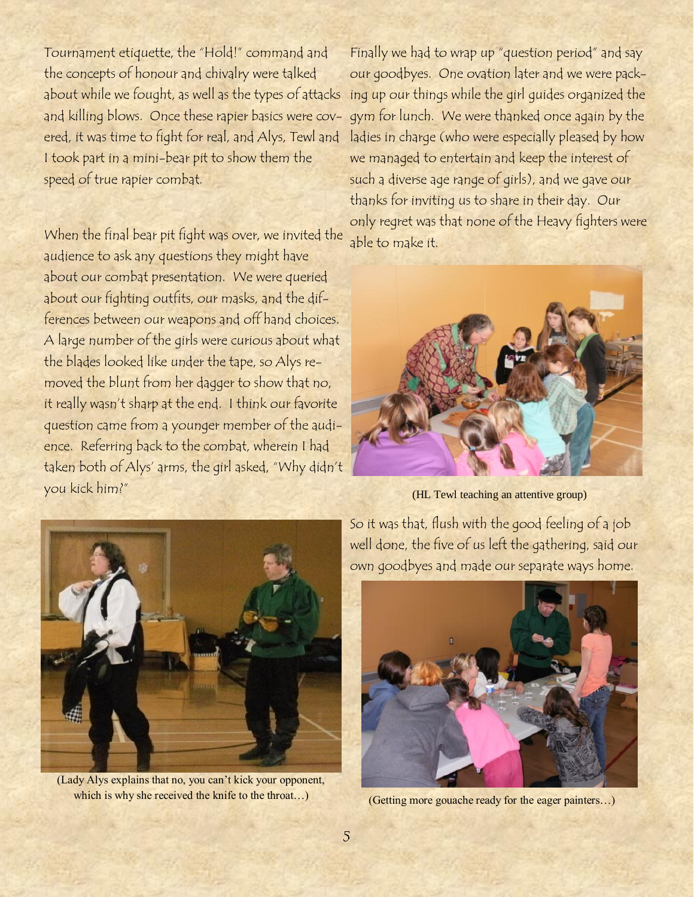Tournament etiquette, the "Hold!" command and the concepts of honour and chivalry were talked about while we fought, as well as the types of attacks ing up our things while the girl guides organized the and killing blows. Once these rapier basics were covered, it was time to fight for real, and Alys, Tewl and I took part in a mini-bear pit to show them the speed of true rapier combat.

When the final bear pit fight was over, we invited the audience to ask any questions they might have about our combat presentation. We were queried about our fighting outfits, our masks, and the differences between our weapons and off hand choices. A large number of the girls were curious about what the blades looked like under the tape, so Alys removed the blunt from her dagger to show that no, it really wasn't sharp at the end. I think our favorite question came from a younger member of the audience. Referring back to the combat, wherein I had taken both of Alys" arms, the girl asked, "Why didn"t you kick him?"

Finally we had to wrap up "question period" and say our goodbyes. One ovation later and we were packgym for lunch. We were thanked once again by the ladies in charge (who were especially pleased by how we managed to entertain and keep the interest of such a diverse age range of girls), and we gave our thanks for inviting us to share in their day. Our only regret was that none of the Heavy fighters were able to make it.



(HL Tewl teaching an attentive group)



(Lady Alys explains that no, you can't kick your opponent, which is why she received the knife to the throat...)

So it was that, flush with the good feeling of a job well done, the five of us left the gathering, said our own goodbyes and made our separate ways home.



(Getting more gouache ready for the eager painters…)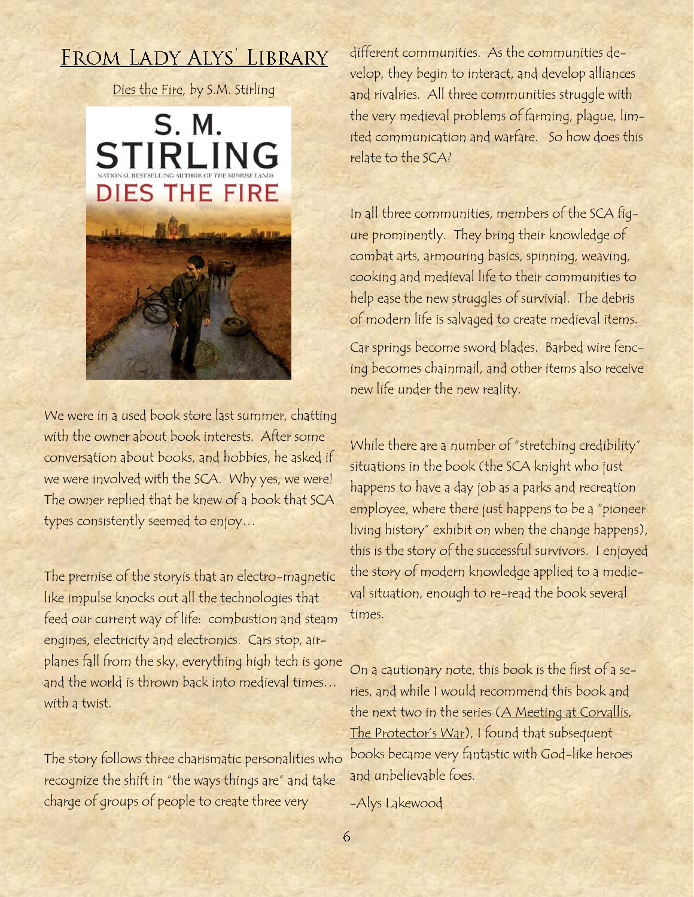## FROM LADY ALYS' LIBRARY

Dies the Fire, by S.M. Stirling



We were in a used book store last summer, chatting with the owner about book interests. After some conversation about books, and hobbies, he asked if we were involved with the SCA. Why yes, we were! The owner replied that he knew of a book that SCA types consistently seemed to enjoy…

The premise of the storyis that an electro-magnetic like impulse knocks out all the technologies that feed our current way of life: combustion and steam engines, electricity and electronics. Cars stop, airplanes fall from the sky, everything high tech is gone and the world is thrown back into medieval times… with a twist.

The story follows three charismatic personalities who recognize the shift in "the ways things are" and take charge of groups of people to create three very

different communities. As the communities develop, they begin to interact, and develop alliances and rivalries. All three communities struggle with the very medieval problems of farming, plague, limited communication and warfare. So how does this relate to the SCA?

In all three communities, members of the SCA figure prominently. They bring their knowledge of combat arts, armouring basics, spinning, weaving, cooking and medieval life to their communities to help ease the new struggles of survivial. The debris of modern life is salvaged to create medieval items.

Car springs become sword blades. Barbed wire fencing becomes chainmail, and other items also receive new life under the new reality.

While there are a number of "stretching credibility" situations in the book (the SCA knight who just happens to have a day job as a parks and recreation employee, where there just happens to be a "pioneer living history" exhibit on when the change happens), this is the story of the successful survivors. I enjoyed the story of modern knowledge applied to a medieval situation, enough to re-read the book several times.

On a cautionary note, this book is the first of a series, and while I would recommend this book and the next two in the series (A Meeting at Corvallis, The Protector's War), I found that subsequent books became very fantastic with God-like heroes and unbelievable foes.

-Alys Lakewood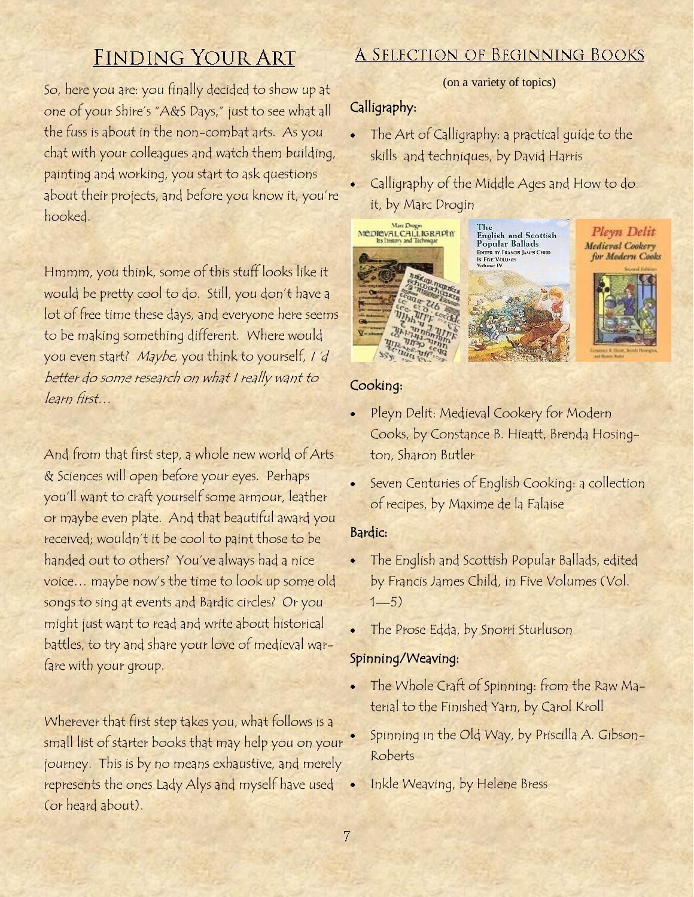## **FINDING YOUR ART**

So, here you are: you finally decided to show up at one of your Shire"s "A&S Days," just to see what all the fuss is about in the non-combat arts. As you chat with your colleagues and watch them building, painting and working, you start to ask questions about their projects, and before you know it, you"re hooked.

Hmmm, you think, some of this stuff looks like it would be pretty cool to do. Still, you don"t have a lot of free time these days, and everyone here seems to be making something different. Where would you even start? Maybe, you think to yourself, I "d better do some research on what I really want to learn first…

And from that first step, a whole new world of Arts & Sciences will open before your eyes. Perhaps you"ll want to craft yourself some armour, leather or maybe even plate. And that beautiful award you received; wouldn"t it be cool to paint those to be handed out to others? You"ve always had a nice voice… maybe now"s the time to look up some old songs to sing at events and Bardic circles? Or you might just want to read and write about historical battles, to try and share your love of medieval warfare with your group.

Wherever that first step takes you, what follows is a small list of starter books that may help you on your journey. This is by no means exhaustive, and merely represents the ones Lady Alys and myself have used (or heard about).

### A SELECTION OF BEGINNING BOOKS

#### (on a variety of topics)

#### Calligraphy:

- The Art of Calligraphy: a practical guide to the skills and techniques, by David Harris
- Calligraphy of the Middle Ages and How to do it, by Marc Drogin



The<br>English and Scottish<br>Popular Ballads EDITED BY FRANCIS JAMES CHILD **IN FIVE VOLUMES**<br>Volume IV





#### Cooking:

- Pleyn Delit: Medieval Cookery for Modern Cooks, by Constance B. Hieatt, Brenda Hosington, Sharon Butler
- Seven Centuries of English Cooking: a collection of recipes, by Maxime de la Falaise

#### Bardic:

- The English and Scottish Popular Ballads, edited by Francis James Child, in Five Volumes (Vol.  $1 - 5)$
- The Prose Edda, by Snorri Sturluson

#### Spinning/Weaving:

- The Whole Craft of Spinning: from the Raw Material to the Finished Yarn, by Carol Kroll
- Spinning in the Old Way, by Priscilla A. Gibson-Roberts
- Inkle Weaving, by Helene Bress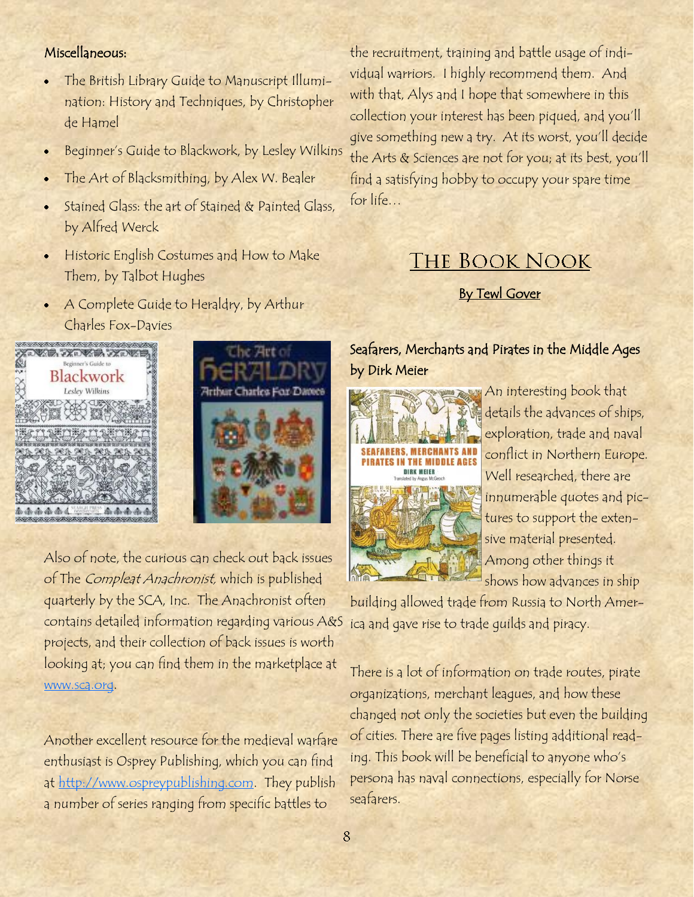#### Miscellaneous:

- The British Library Guide to Manuscript Illumination: History and Techniques, by Christopher de Hamel
- Beginner"s Guide to Blackwork, by Lesley Wilkins  $\bullet$
- The Art of Blacksmithing, by Alex W. Bealer
- Stained Glass: the art of Stained & Painted Glass, by Alfred Werck
- Historic English Costumes and How to Make Them, by Talbot Hughes
- A Complete Guide to Heraldry, by Arthur Charles Fox-Davies





Also of note, the curious can check out back issues of The Compleat Anachronist, which is published quarterly by the SCA, Inc. The Anachronist often contains detailed information regarding various A&S projects, and their collection of back issues is worth looking at; you can find them in the marketplace at [www.sca.org.](http://www.sca.org)

Another excellent resource for the medieval warfare enthusiast is Osprey Publishing, which you can find at [http://www.ospreypublishing.com.](http://www.ospreypublishing.com) They publish a number of series ranging from specific battles to

the recruitment, training and battle usage of individual warriors. I highly recommend them. And with that, Alys and I hope that somewhere in this collection your interest has been piqued, and you"ll give something new a try. At its worst, you"ll decide the Arts & Sciences are not for you; at its best, you"ll find a satisfying hobby to occupy your spare time for life…

## **THE BOOK NOOK**

**By Tewl Gover** 

#### Seafarers, Merchants and Pirates in the Middle Ages by Dirk Meier



An interesting book that details the advances of ships, exploration, trade and naval conflict in Northern Europe. Well researched, there are innumerable quotes and pictures to support the extensive material presented. Among other things it shows how advances in ship

building allowed trade from Russia to North America and gave rise to trade guilds and piracy.

There is a lot of information on trade routes, pirate organizations, merchant leagues, and how these changed not only the societies but even the building of cities. There are five pages listing additional reading. This book will be beneficial to anyone who"s persona has naval connections, especially for Norse seafarers.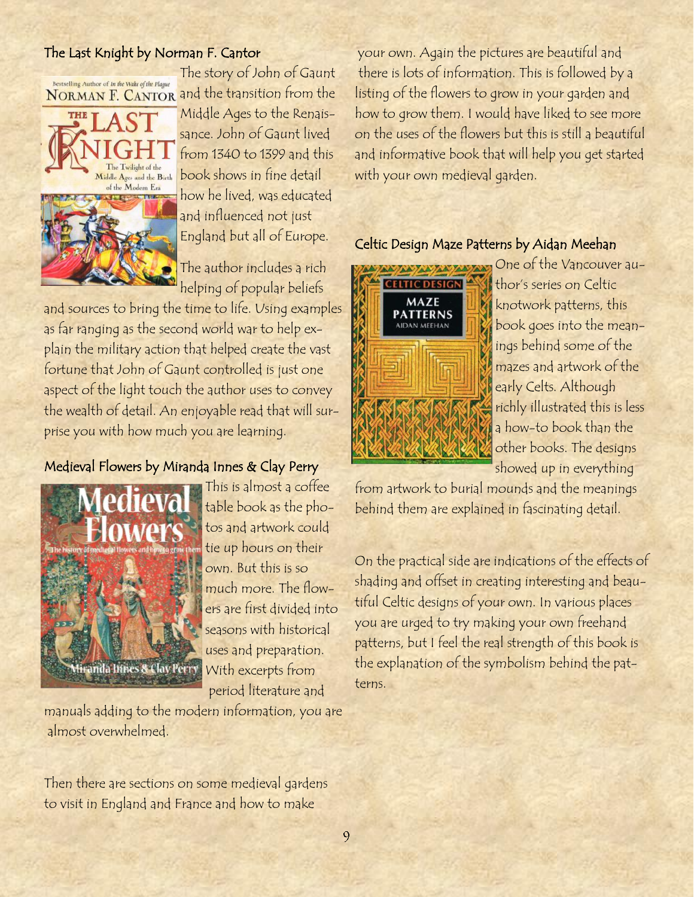#### The Last Knight by Norman F. Cantor

The story of John of Gaunt Bestselling Author of In the Wake of the Plague NORMAN F. CANTOR and the transition from the



Middle Ages to the Renaissance. John of Gaunt lived from 1340 to 1399 and this book shows in fine detail how he lived, was educated and influenced not just England but all of Europe.

The author includes a rich helping of popular beliefs

and sources to bring the time to life. Using examples as far ranging as the second world war to help explain the military action that helped create the vast fortune that John of Gaunt controlled is just one aspect of the light touch the author uses to convey the wealth of detail. An enjoyable read that will surprise you with how much you are learning.

#### Medieval Flowers by Miranda Innes & Clay Perry



This is almost a coffee table book as the photos and artwork could tie up hours on their own. But this is so much more. The flowers are first divided into seasons with historical uses and preparation. With excerpts from period literature and

manuals adding to the modern information, you are almost overwhelmed.

Then there are sections on some medieval gardens to visit in England and France and how to make

your own. Again the pictures are beautiful and there is lots of information. This is followed by a listing of the flowers to grow in your garden and how to grow them. I would have liked to see more on the uses of the flowers but this is still a beautiful and informative book that will help you get started with your own medieval garden.

#### Celtic Design Maze Patterns by Aidan Meehan



One of the Vancouver author's series on Celtic knotwork patterns, this book goes into the meanings behind some of the mazes and artwork of the early Celts. Although richly illustrated this is less a how-to book than the other books. The designs showed up in everything

from artwork to burial mounds and the meanings behind them are explained in fascinating detail.

On the practical side are indications of the effects of shading and offset in creating interesting and beautiful Celtic designs of your own. In various places you are urged to try making your own freehand patterns, but I feel the real strength of this book is the explanation of the symbolism behind the patterns.